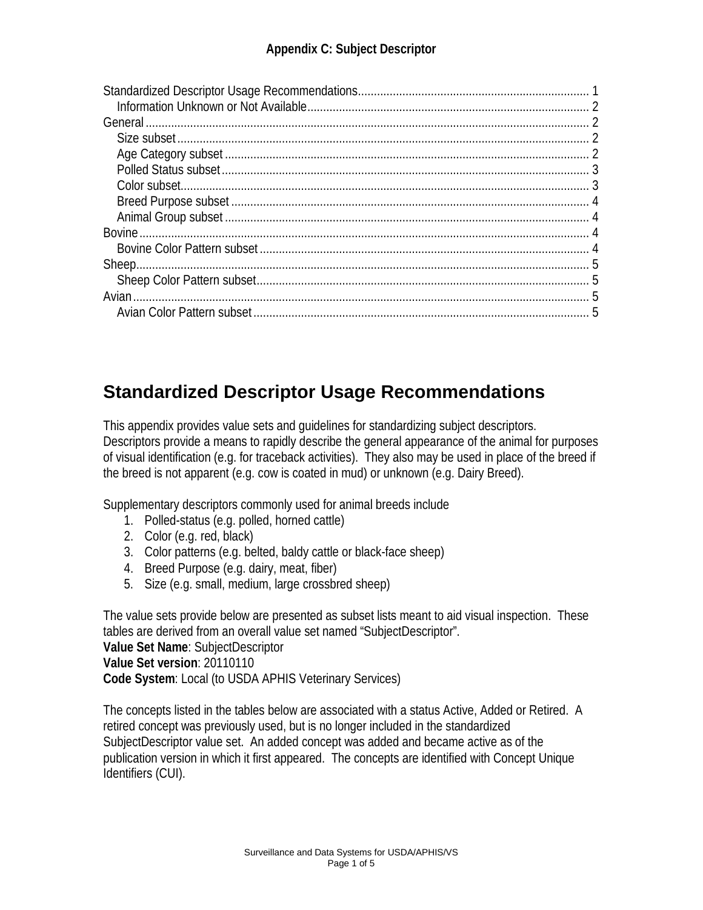| <b>Bovine</b>       |  |
|---------------------|--|
|                     |  |
|                     |  |
|                     |  |
| Avian $\ldots$<br>5 |  |
|                     |  |

## <span id="page-0-0"></span>**Standardized Descriptor Usage Recommendations**

This appendix provides value sets and guidelines for standardizing subject descriptors. Descriptors provide a means to rapidly describe the general appearance of the animal for purposes of visual identification (e.g. for traceback activities). They also may be used in place of the breed if the breed is not apparent (e.g. cow is coated in mud) or unknown (e.g. Dairy Breed).

Supplementary descriptors commonly used for animal breeds include

- 1. Polled-status (e.g. polled, horned cattle)
- 2. Color (e.g. red, black)
- 3. Color patterns (e.g. belted, baldy cattle or black-face sheep)
- 4. Breed Purpose (e.g. dairy, meat, fiber)
- 5. Size (e.g. small, medium, large crossbred sheep)

The value sets provide below are presented as subset lists meant to aid visual inspection. These tables are derived from an overall value set named "SubjectDescriptor". **Value Set Name**: SubjectDescriptor

**Value Set version**: 20110110

**Code System**: Local (to USDA APHIS Veterinary Services)

The concepts listed in the tables below are associated with a status Active, Added or Retired. A retired concept was previously used, but is no longer included in the standardized SubjectDescriptor value set. An added concept was added and became active as of the publication version in which it first appeared. The concepts are identified with Concept Unique Identifiers (CUI).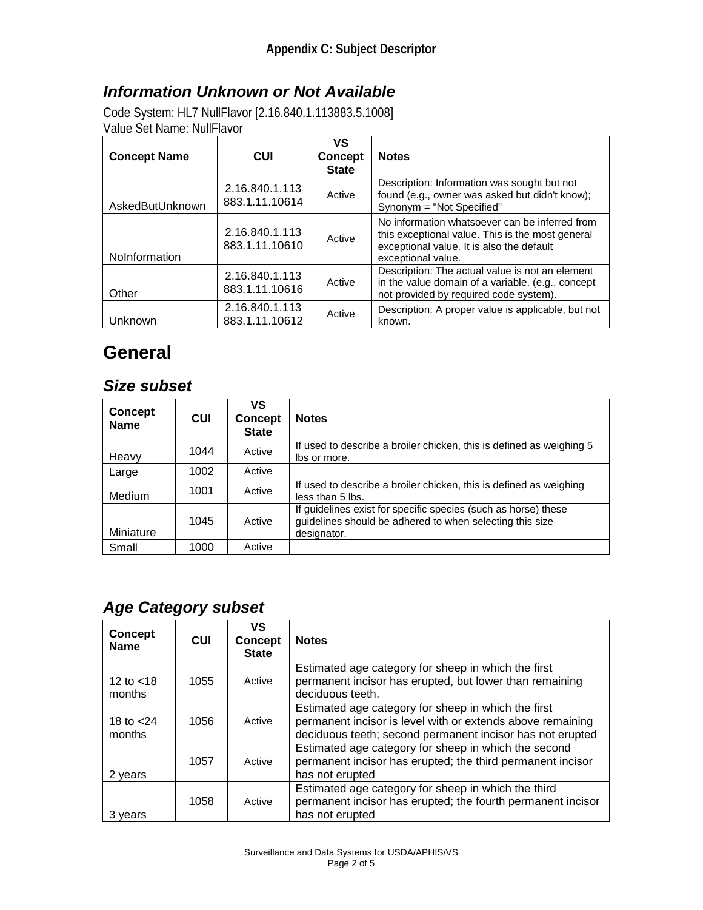#### <span id="page-1-0"></span>*Information Unknown or Not Available*

Code System: HL7 NullFlavor [2.16.840.1.113883.5.1008] Value Set Name: NullFlavor

| <b>Concept Name</b> | CUI                              | VS<br><b>Concept</b><br><b>State</b> | <b>Notes</b>                                                                                                                                                          |
|---------------------|----------------------------------|--------------------------------------|-----------------------------------------------------------------------------------------------------------------------------------------------------------------------|
| AskedButUnknown     | 2.16.840.1.113<br>883.1.11.10614 | Active                               | Description: Information was sought but not<br>found (e.g., owner was asked but didn't know);<br>Synonym = "Not Specified"                                            |
| NoInformation       | 2.16.840.1.113<br>883.1.11.10610 | Active                               | No information whatsoever can be inferred from<br>this exceptional value. This is the most general<br>exceptional value. It is also the default<br>exceptional value. |
| Other               | 2.16.840.1.113<br>883.1.11.10616 | Active                               | Description: The actual value is not an element<br>in the value domain of a variable. (e.g., concept<br>not provided by required code system).                        |
| Unknown             | 2.16.840.1.113<br>883.1.11.10612 | Active                               | Description: A proper value is applicable, but not<br>known.                                                                                                          |

## <span id="page-1-1"></span>**General**

#### <span id="page-1-2"></span>*Size subset*

| <b>Concept</b><br><b>Name</b> | CUI  | VS<br><b>Concept</b><br><b>State</b> | <b>Notes</b>                                                                                                                              |
|-------------------------------|------|--------------------------------------|-------------------------------------------------------------------------------------------------------------------------------------------|
| Heavy                         | 1044 | Active                               | If used to describe a broiler chicken, this is defined as weighing 5<br>lbs or more.                                                      |
| Large                         | 1002 | Active                               |                                                                                                                                           |
| Medium                        | 1001 | Active                               | If used to describe a broiler chicken, this is defined as weighing<br>less than 5 lbs.                                                    |
| Miniature                     | 1045 | Active                               | If guidelines exist for specific species (such as horse) these<br>guidelines should be adhered to when selecting this size<br>designator. |
| Small                         | 1000 | Active                               |                                                                                                                                           |

### <span id="page-1-3"></span>*Age Category subset*

| <b>Concept</b><br><b>Name</b> | <b>CUI</b> | VS<br><b>Concept</b><br><b>State</b> | <b>Notes</b>                                                                                                                                                                   |
|-------------------------------|------------|--------------------------------------|--------------------------------------------------------------------------------------------------------------------------------------------------------------------------------|
| 12 to $<$ 18<br>months        | 1055       | Active                               | Estimated age category for sheep in which the first<br>permanent incisor has erupted, but lower than remaining<br>deciduous teeth.                                             |
| 18 to $<$ 24<br>months        | 1056       | Active                               | Estimated age category for sheep in which the first<br>permanent incisor is level with or extends above remaining<br>deciduous teeth; second permanent incisor has not erupted |
| 2 years                       | 1057       | Active                               | Estimated age category for sheep in which the second<br>permanent incisor has erupted; the third permanent incisor<br>has not erupted                                          |
| 3 years                       | 1058       | Active                               | Estimated age category for sheep in which the third<br>permanent incisor has erupted; the fourth permanent incisor<br>has not erupted                                          |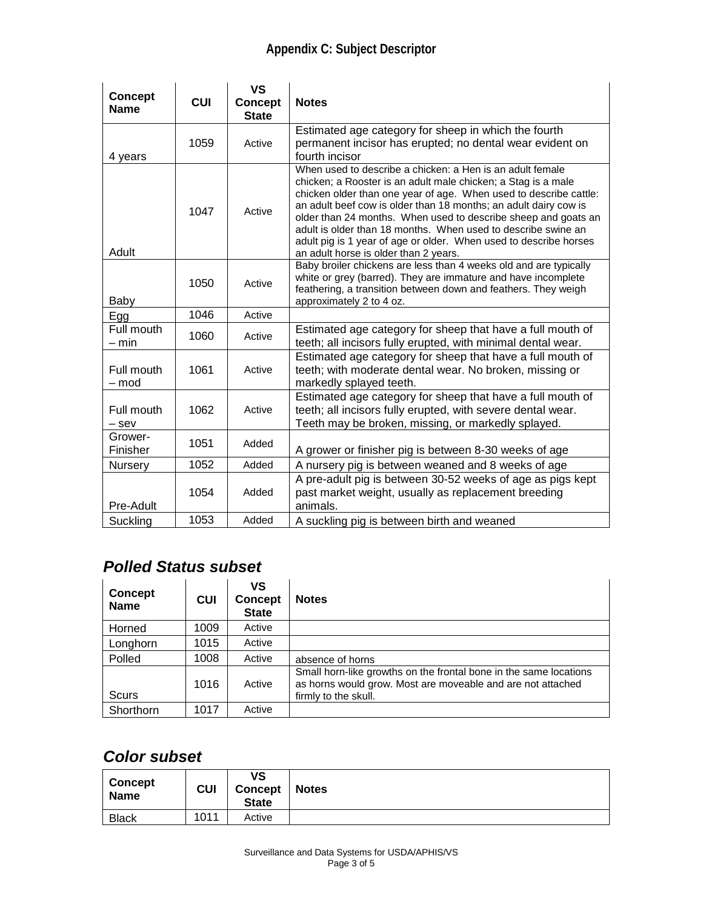#### **Appendix C: Subject Descriptor**

| <b>Concept</b><br><b>Name</b> | <b>CUI</b> | <b>VS</b><br>Concept<br><b>State</b> | <b>Notes</b>                                                                                                                                                                                                                                                                                                                                                                                                                                                                                                         |
|-------------------------------|------------|--------------------------------------|----------------------------------------------------------------------------------------------------------------------------------------------------------------------------------------------------------------------------------------------------------------------------------------------------------------------------------------------------------------------------------------------------------------------------------------------------------------------------------------------------------------------|
| 4 years                       | 1059       | Active                               | Estimated age category for sheep in which the fourth<br>permanent incisor has erupted; no dental wear evident on<br>fourth incisor                                                                                                                                                                                                                                                                                                                                                                                   |
| Adult                         | 1047       | Active                               | When used to describe a chicken: a Hen is an adult female<br>chicken; a Rooster is an adult male chicken; a Stag is a male<br>chicken older than one year of age. When used to describe cattle:<br>an adult beef cow is older than 18 months; an adult dairy cow is<br>older than 24 months. When used to describe sheep and goats an<br>adult is older than 18 months. When used to describe swine an<br>adult pig is 1 year of age or older. When used to describe horses<br>an adult horse is older than 2 years. |
| Baby                          | 1050       | Active                               | Baby broiler chickens are less than 4 weeks old and are typically<br>white or grey (barred). They are immature and have incomplete<br>feathering, a transition between down and feathers. They weigh<br>approximately 2 to 4 oz.                                                                                                                                                                                                                                                                                     |
| Egg                           | 1046       | Active                               |                                                                                                                                                                                                                                                                                                                                                                                                                                                                                                                      |
| Full mouth<br>– min           | 1060       | Active                               | Estimated age category for sheep that have a full mouth of<br>teeth; all incisors fully erupted, with minimal dental wear.                                                                                                                                                                                                                                                                                                                                                                                           |
| Full mouth<br>– mod           | 1061       | Active                               | Estimated age category for sheep that have a full mouth of<br>teeth; with moderate dental wear. No broken, missing or<br>markedly splayed teeth.                                                                                                                                                                                                                                                                                                                                                                     |
| Full mouth<br>$-$ sev         | 1062       | Active                               | Estimated age category for sheep that have a full mouth of<br>teeth; all incisors fully erupted, with severe dental wear.<br>Teeth may be broken, missing, or markedly splayed.                                                                                                                                                                                                                                                                                                                                      |
| Grower-<br>Finisher           | 1051       | Added                                | A grower or finisher pig is between 8-30 weeks of age                                                                                                                                                                                                                                                                                                                                                                                                                                                                |
| Nursery                       | 1052       | Added                                | A nursery pig is between weaned and 8 weeks of age                                                                                                                                                                                                                                                                                                                                                                                                                                                                   |
| Pre-Adult                     | 1054       | Added                                | A pre-adult pig is between 30-52 weeks of age as pigs kept<br>past market weight, usually as replacement breeding<br>animals.                                                                                                                                                                                                                                                                                                                                                                                        |
| Suckling                      | 1053       | Added                                | A suckling pig is between birth and weaned                                                                                                                                                                                                                                                                                                                                                                                                                                                                           |

### <span id="page-2-0"></span>*Polled Status subset*

| <b>Concept</b><br><b>Name</b> | <b>CUI</b> | VS<br><b>Concept</b><br><b>State</b> | <b>Notes</b>                                                                                                                                             |
|-------------------------------|------------|--------------------------------------|----------------------------------------------------------------------------------------------------------------------------------------------------------|
| Horned                        | 1009       | Active                               |                                                                                                                                                          |
| Longhorn                      | 1015       | Active                               |                                                                                                                                                          |
| Polled                        | 1008       | Active                               | absence of horns                                                                                                                                         |
| <b>Scurs</b>                  | 1016       | Active                               | Small horn-like growths on the frontal bone in the same locations<br>as horns would grow. Most are moveable and are not attached<br>firmly to the skull. |
| Shorthorn                     | 1017       | Active                               |                                                                                                                                                          |

#### <span id="page-2-1"></span>*Color subset*

| <b>Concept</b><br><b>Name</b> | <b>CUI</b> | ٧S<br><b>Concept</b><br><b>State</b> | <b>Notes</b> |
|-------------------------------|------------|--------------------------------------|--------------|
| <b>Black</b>                  | 1011       | Active                               |              |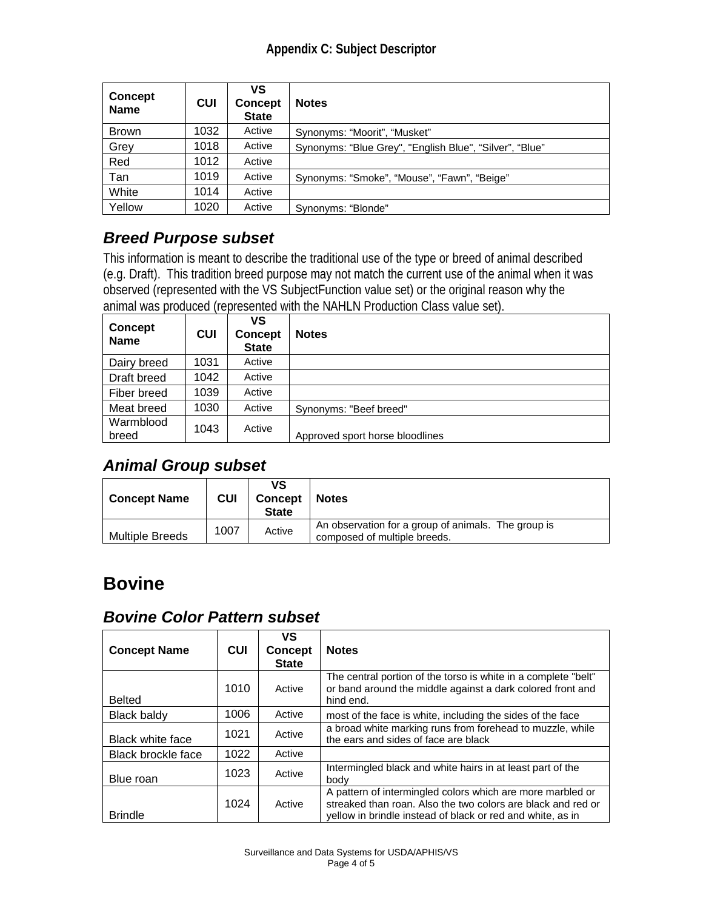| Concept<br><b>Name</b> | <b>CUI</b> | VS<br><b>Concept</b><br><b>State</b> | <b>Notes</b>                                            |
|------------------------|------------|--------------------------------------|---------------------------------------------------------|
| <b>Brown</b>           | 1032       | Active                               | Synonyms: "Moorit", "Musket"                            |
| Grey                   | 1018       | Active                               | Synonyms: "Blue Grey", "English Blue", "Silver", "Blue" |
| Red                    | 1012       | Active                               |                                                         |
| Tan                    | 1019       | Active                               | Synonyms: "Smoke", "Mouse", "Fawn", "Beige"             |
| White                  | 1014       | Active                               |                                                         |
| Yellow                 | 1020       | Active                               | Synonyms: "Blonde"                                      |

### <span id="page-3-0"></span>*Breed Purpose subset*

This information is meant to describe the traditional use of the type or breed of animal described (e.g. Draft). This tradition breed purpose may not match the current use of the animal when it was observed (represented with the VS SubjectFunction value set) or the original reason why the animal was produced (represented with the NAHLN Production Class value set).

| <b>Concept</b><br><b>Name</b> | <b>CUI</b> | VS<br><b>Concept</b><br><b>State</b> | <b>Notes</b>                    |
|-------------------------------|------------|--------------------------------------|---------------------------------|
| Dairy breed                   | 1031       | Active                               |                                 |
| Draft breed                   | 1042       | Active                               |                                 |
| Fiber breed                   | 1039       | Active                               |                                 |
| Meat breed                    | 1030       | Active                               | Synonyms: "Beef breed"          |
| Warmblood<br>breed            | 1043       | Active                               | Approved sport horse bloodlines |

#### <span id="page-3-1"></span>*Animal Group subset*

| <b>Concept Name</b>    | CUI  | ٧S<br><b>Concept</b><br><b>State</b> | <b>Notes</b>                                                                        |
|------------------------|------|--------------------------------------|-------------------------------------------------------------------------------------|
| <b>Multiple Breeds</b> | 1007 | Active                               | An observation for a group of animals. The group is<br>composed of multiple breeds. |

## <span id="page-3-2"></span>**Bovine**

#### <span id="page-3-3"></span>*Bovine Color Pattern subset*

| <b>Concept Name</b>     | <b>CUI</b> | VS<br><b>Concept</b><br><b>State</b> | <b>Notes</b>                                                                                                                                                                             |
|-------------------------|------------|--------------------------------------|------------------------------------------------------------------------------------------------------------------------------------------------------------------------------------------|
| <b>Belted</b>           | 1010       | Active                               | The central portion of the torso is white in a complete "belt"<br>or band around the middle against a dark colored front and<br>hind end.                                                |
| Black baldy             | 1006       | Active                               | most of the face is white, including the sides of the face                                                                                                                               |
| <b>Black white face</b> | 1021       | Active                               | a broad white marking runs from forehead to muzzle, while<br>the ears and sides of face are black                                                                                        |
| Black brockle face      | 1022       | Active                               |                                                                                                                                                                                          |
| Blue roan               | 1023       | Active                               | Intermingled black and white hairs in at least part of the<br>body                                                                                                                       |
| <b>Brindle</b>          | 1024       | Active                               | A pattern of intermingled colors which are more marbled or<br>streaked than roan. Also the two colors are black and red or<br>yellow in brindle instead of black or red and white, as in |